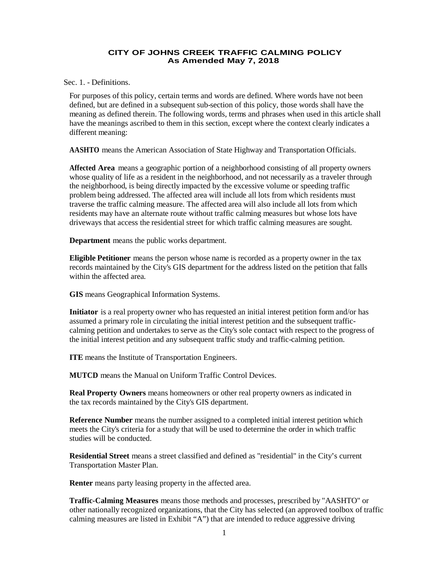## **CITY OF JOHNS CREEK TRAFFIC CALMING POLICY As Amended May 7, 2018**

Sec. 1. - Definitions.

For purposes of this policy, certain terms and words are defined. Where words have not been defined, but are defined in a subsequent sub-section of this policy, those words shall have the meaning as defined therein. The following words, terms and phrases when used in this article shall have the meanings ascribed to them in this section, except where the context clearly indicates a different meaning:

**AASHTO** means the American Association of State Highway and Transportation Officials.

**Affected Area** means a geographic portion of a neighborhood consisting of all property owners whose quality of life as a resident in the neighborhood, and not necessarily as a traveler through the neighborhood, is being directly impacted by the excessive volume or speeding traffic problem being addressed. The affected area will include all lots from which residents must traverse the traffic calming measure. The affected area will also include all lots from which residents may have an alternate route without traffic calming measures but whose lots have driveways that access the residential street for which traffic calming measures are sought.

**Department** means the public works department.

**Eligible Petitioner** means the person whose name is recorded as a property owner in the tax records maintained by the City's GIS department for the address listed on the petition that falls within the affected area.

**GIS** means Geographical Information Systems.

**Initiator** is a real property owner who has requested an initial interest petition form and/or has assumed a primary role in circulating the initial interest petition and the subsequent trafficcalming petition and undertakes to serve as the City's sole contact with respect to the progress of the initial interest petition and any subsequent traffic study and traffic-calming petition.

**ITE** means the Institute of Transportation Engineers.

**MUTCD** means the Manual on Uniform Traffic Control Devices.

**Real Property Owners** means homeowners or other real property owners as indicated in the tax records maintained by the City's GIS department.

**Reference Number** means the number assigned to a completed initial interest petition which meets the City's criteria for a study that will be used to determine the order in which traffic studies will be conducted.

**Residential Street** means a street classified and defined as "residential" in the City's current Transportation Master Plan.

**Renter** means party leasing property in the affected area.

**Traffic-Calming Measures** means those methods and processes, prescribed by "AASHTO" or other nationally recognized organizations, that the City has selected (an approved toolbox of traffic calming measures are listed in Exhibit "A") that are intended to reduce aggressive driving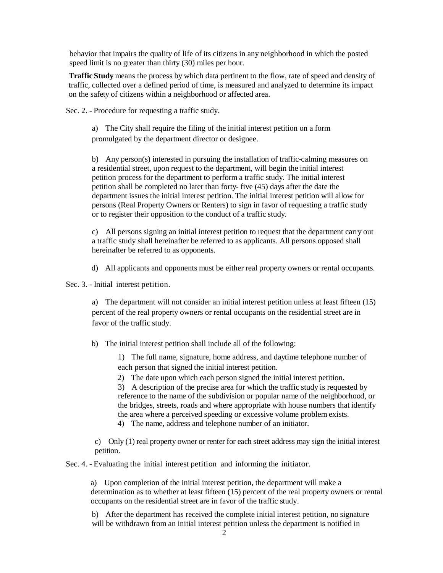behavior that impairs the quality of life of its citizens in any neighborhood in which the posted speed limit is no greater than thirty (30) miles per hour.

**Traffic Study** means the process by which data pertinent to the flow, rate of speed and density of traffic, collected over a defined period of time, is measured and analyzed to determine its impact on the safety of citizens within a neighborhood or affected area.

Sec. 2. - Procedure for requesting a traffic study.

a) The City shall require the filing of the initial interest petition on a form promulgated by the department director or designee.

b) Any person(s) interested in pursuing the installation of traffic-calming measures on a residential street, upon request to the department, will begin the initial interest petition process for the department to perform a traffic study. The initial interest petition shall be completed no later than forty- five (45) days after the date the department issues the initial interest petition. The initial interest petition will allow for persons (Real Property Owners or Renters) to sign in favor of requesting a traffic study or to register their opposition to the conduct of a traffic study.

c) All persons signing an initial interest petition to request that the department carry out a traffic study shall hereinafter be referred to as applicants. All persons opposed shall hereinafter be referred to as opponents.

d) All applicants and opponents must be either real property owners or rental occupants.

Sec. 3. - Initial interest petition.

a) The department will not consider an initial interest petition unless at least fifteen (15) percent of the real property owners or rental occupants on the residential street are in favor of the traffic study.

b) The initial interest petition shall include all of the following:

1) The full name, signature, home address, and daytime telephone number of each person that signed the initial interest petition.

2) The date upon which each person signed the initial interest petition.

3) A description of the precise area for which the traffic study is requested by reference to the name of the subdivision or popular name of the neighborhood, or the bridges, streets, roads and where appropriate with house numbers that identify the area where a perceived speeding or excessive volume problem exists.

4) The name, address and telephone number of an initiator.

c) Only (1) real property owner or renter for each street address may sign the initial interest petition.

Sec. 4. - Evaluating the initial interest petition and informing the initiator.

a) Upon completion of the initial interest petition, the department will make a determination as to whether at least fifteen (15) percent of the real property owners or rental occupants on the residential street are in favor of the traffic study.

b) After the department has received the complete initial interest petition, no signature will be withdrawn from an initial interest petition unless the department is notified in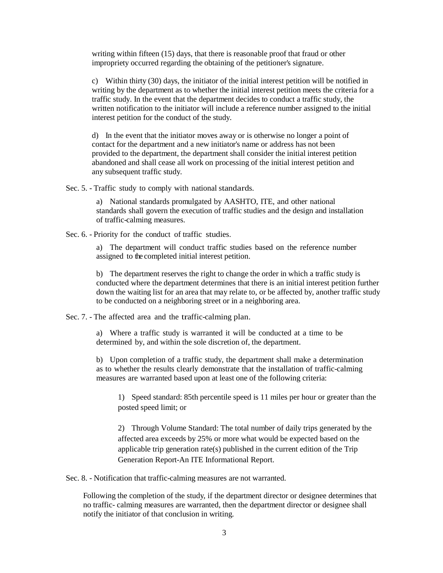writing within fifteen (15) days, that there is reasonable proof that fraud or other impropriety occurred regarding the obtaining of the petitioner's signature.

c) Within thirty (30) days, the initiator of the initial interest petition will be notified in writing by the department as to whether the initial interest petition meets the criteria for a traffic study. In the event that the department decides to conduct a traffic study, the written notification to the initiator will include a reference number assigned to the initial interest petition for the conduct of the study.

d) In the event that the initiator moves away or is otherwise no longer a point of contact for the department and a new initiator's name or address has not been provided to the department, the department shall consider the initial interest petition abandoned and shall cease all work on processing of the initial interest petition and any subsequent traffic study.

Sec. 5. - Traffic study to comply with national standards.

a) National standards promulgated by AASHTO, ITE, and other national standards shall govern the execution of traffic studies and the design and installation of traffic-calming measures.

Sec. 6. - Priority for the conduct of traffic studies.

a) The department will conduct traffic studies based on the reference number assigned to the completed initial interest petition.

b) The department reserves the right to change the order in which a traffic study is conducted where the department determines that there is an initial interest petition further down the waiting list for an area that may relate to, or be affected by, another traffic study to be conducted on a neighboring street or in a neighboring area.

Sec. 7. - The affected area and the traffic-calming plan.

a) Where a traffic study is warranted it will be conducted at a time to be determined by, and within the sole discretion of, the department.

b) Upon completion of a traffic study, the department shall make a determination as to whether the results clearly demonstrate that the installation of traffic-calming measures are warranted based upon at least one of the following criteria:

1) Speed standard: 85th percentile speed is 11 miles per hour or greater than the posted speed limit; or

2) Through Volume Standard: The total number of daily trips generated by the affected area exceeds by 25% or more what would be expected based on the applicable trip generation rate(s) published in the current edition of the Trip Generation Report-An ITE Informational Report.

Sec. 8. - Notification that traffic-calming measures are not warranted.

Following the completion of the study, if the department director or designee determines that no traffic- calming measures are warranted, then the department director or designee shall notify the initiator of that conclusion in writing.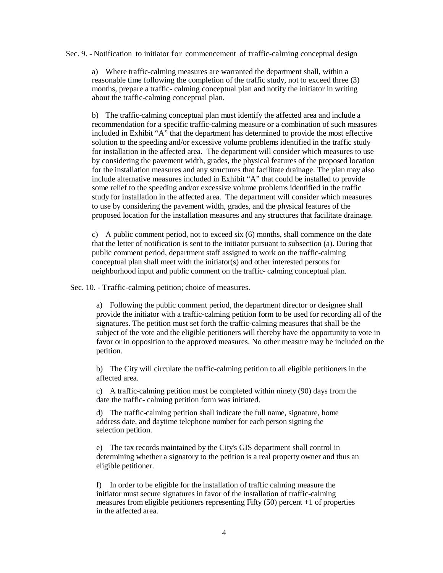Sec. 9. - Notification to initiator for commencement of traffic-calming conceptual design

a) Where traffic-calming measures are warranted the department shall, within a reasonable time following the completion of the traffic study, not to exceed three (3) months, prepare a traffic- calming conceptual plan and notify the initiator in writing about the traffic-calming conceptual plan.

b) The traffic-calming conceptual plan must identify the affected area and include a recommendation for a specific traffic-calming measure or a combination of such measures included in Exhibit "A" that the department has determined to provide the most effective solution to the speeding and/or excessive volume problems identified in the traffic study for installation in the affected area. The department will consider which measures to use by considering the pavement width, grades, the physical features of the proposed location for the installation measures and any structures that facilitate drainage. The plan may also include alternative measures included in Exhibit "A" that could be installed to provide some relief to the speeding and/or excessive volume problems identified in the traffic study for installation in the affected area. The department will consider which measures to use by considering the pavement width, grades, and the physical features of the proposed location for the installation measures and any structures that facilitate drainage.

c) A public comment period, not to exceed six (6) months, shall commence on the date that the letter of notification is sent to the initiator pursuant to subsection (a). During that public comment period, department staff assigned to work on the traffic-calming conceptual plan shall meet with the initiator(s) and other interested persons for neighborhood input and public comment on the traffic- calming conceptual plan.

Sec. 10. - Traffic-calming petition; choice of measures.

a) Following the public comment period, the department director or designee shall provide the initiator with a traffic-calming petition form to be used for recording all of the signatures. The petition must set forth the traffic-calming measures that shall be the subject of the vote and the eligible petitioners will thereby have the opportunity to vote in favor or in opposition to the approved measures. No other measure may be included on the petition.

b) The City will circulate the traffic-calming petition to all eligible petitioners in the affected area.

c) A traffic-calming petition must be completed within ninety (90) days from the date the traffic- calming petition form was initiated.

d) The traffic-calming petition shall indicate the full name, signature, home address date, and daytime telephone number for each person signing the selection petition.

e) The tax records maintained by the City's GIS department shall control in determining whether a signatory to the petition is a real property owner and thus an eligible petitioner.

f) In order to be eligible for the installation of traffic calming measure the initiator must secure signatures in favor of the installation of traffic-calming measures from eligible petitioners representing Fifty (50) percent +1 of properties in the affected area.